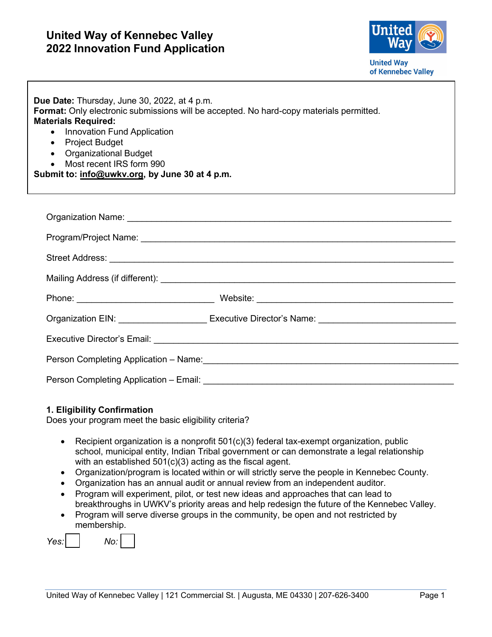

| Due Date: Thursday, June 30, 2022, at 4 p.m.<br>Format: Only electronic submissions will be accepted. No hard-copy materials permitted.<br><b>Materials Required:</b><br>Innovation Fund Application<br>$\bullet$<br>• Project Budget<br>• Organizational Budget<br>Most recent IRS form 990<br>$\bullet$<br>Submit to: info@uwkv.org, by June 30 at 4 p.m. |                                                                                                                                                                                                                                |  |
|-------------------------------------------------------------------------------------------------------------------------------------------------------------------------------------------------------------------------------------------------------------------------------------------------------------------------------------------------------------|--------------------------------------------------------------------------------------------------------------------------------------------------------------------------------------------------------------------------------|--|
|                                                                                                                                                                                                                                                                                                                                                             |                                                                                                                                                                                                                                |  |
|                                                                                                                                                                                                                                                                                                                                                             |                                                                                                                                                                                                                                |  |
|                                                                                                                                                                                                                                                                                                                                                             | Street Address: <u>New York: William Street Address:</u> New York: New York: New York: New York: New York: New York: N                                                                                                         |  |
|                                                                                                                                                                                                                                                                                                                                                             |                                                                                                                                                                                                                                |  |
|                                                                                                                                                                                                                                                                                                                                                             |                                                                                                                                                                                                                                |  |
|                                                                                                                                                                                                                                                                                                                                                             | Organization EIN: University of Executive Director's Name: University of American American Control of American                                                                                                                 |  |
|                                                                                                                                                                                                                                                                                                                                                             |                                                                                                                                                                                                                                |  |
|                                                                                                                                                                                                                                                                                                                                                             | Person Completing Application - Name: \\community \\community \\community \\community \\community \\community \\community \\community \\community \\community \\community \\community \\community \\community \\community \\co |  |
|                                                                                                                                                                                                                                                                                                                                                             |                                                                                                                                                                                                                                |  |

#### **1. Eligibility Confirmation**

Does your program meet the basic eligibility criteria?

- Recipient organization is a nonprofit 501(c)(3) federal tax-exempt organization, public school, municipal entity, Indian Tribal government or can demonstrate a legal relationship with an established 501(c)(3) acting as the fiscal agent.
- Organization/program is located within or will strictly serve the people in [Kennebec County.](https://uwkv.org/Our-Impact)
- Organization has an annual audit or annual review from an independent auditor.
- Program will experiment, pilot, or test new ideas and approaches that can lead to breakthroughs in UWKV's priority areas and help redesign the future of the Kennebec Valley.
- Program will serve diverse groups in the community, be open and not restricted by membership.

| Yes I | MO. |  |
|-------|-----|--|
|-------|-----|--|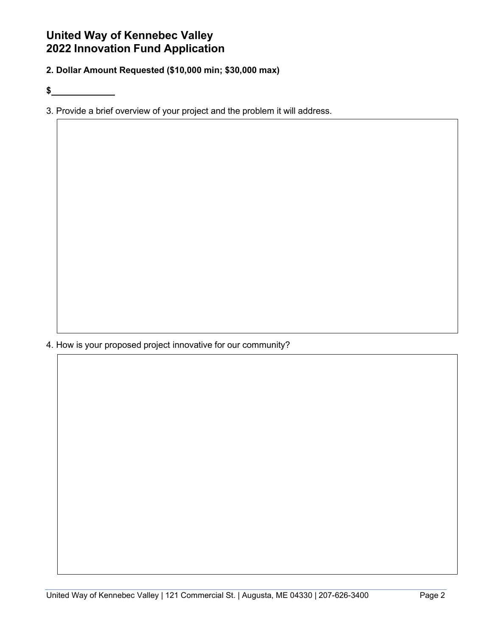**2. Dollar Amount Requested (\$10,000 min; \$30,000 max)**

**\$** 

3. Provide a brief overview of your project and the problem it will address.

4. How is your proposed project innovative for our community?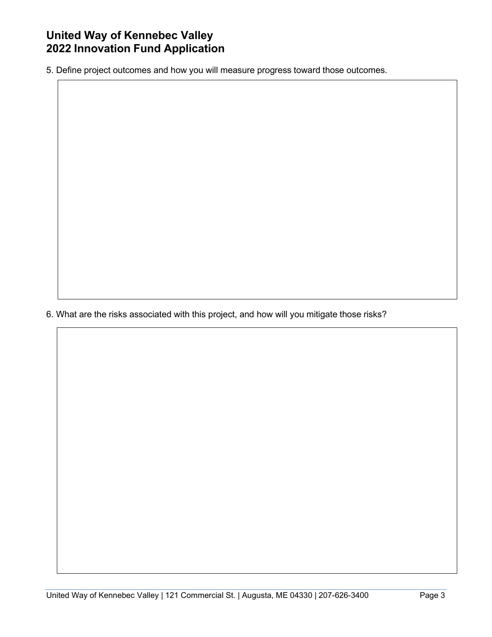5. Define project outcomes and how you will measure progress toward those outcomes.

6. What are the risks associated with this project, and how will you mitigate those risks?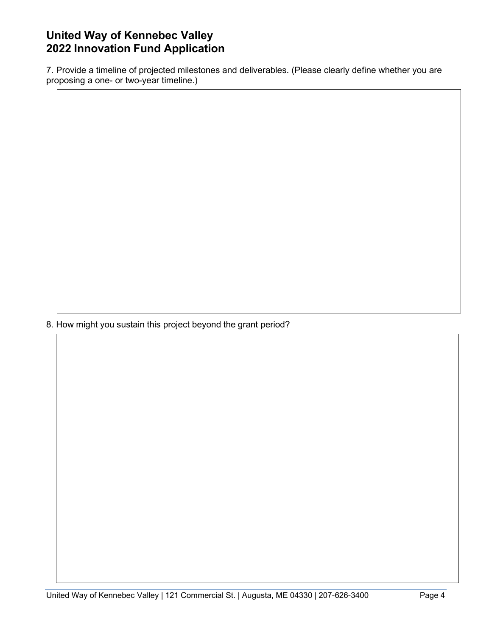7. Provide a timeline of projected milestones and deliverables. (Please clearly define whether you are proposing a one- or two-year timeline.)

8. How might you sustain this project beyond the grant period?